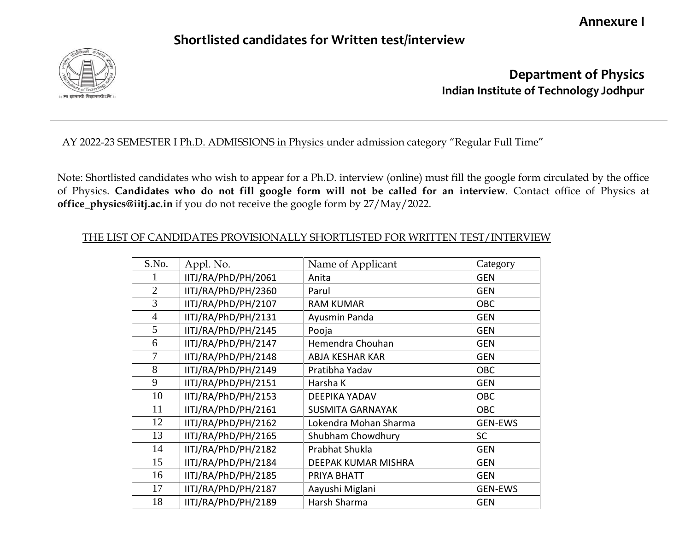**Annexure I**

## **Shortlisted candidates for Written test/interview**



**Department of Physics Indian Institute of Technology Jodhpur**

## AY 2022-23 SEMESTER I Ph.D. ADMISSIONS in Physics under admission category "Regular Full Time"

Note: Shortlisted candidates who wish to appear for a Ph.D. interview (online) must fill the google form circulated by the office of Physics. **Candidates who do not fill google form will not be called for an interview**. Contact office of Physics at **office\_physics@iitj.ac.in** if you do not receive the google form by 27/May/2022.

## THE LIST OF CANDIDATES PROVISIONALLY SHORTLISTED FOR WRITTEN TEST/INTERVIEW

| S.No.          | Appl. No.           | Name of Applicant       | Category       |
|----------------|---------------------|-------------------------|----------------|
| 1              | IITJ/RA/PhD/PH/2061 | Anita                   | <b>GEN</b>     |
| $\overline{2}$ | IITJ/RA/PhD/PH/2360 | Parul                   | <b>GEN</b>     |
| 3              | IITJ/RA/PhD/PH/2107 | <b>RAM KUMAR</b>        | OBC            |
| $\overline{4}$ | IITJ/RA/PhD/PH/2131 | Ayusmin Panda           | <b>GEN</b>     |
| 5              | IITJ/RA/PhD/PH/2145 | Pooja                   | <b>GEN</b>     |
| 6              | IITJ/RA/PhD/PH/2147 | Hemendra Chouhan        | <b>GEN</b>     |
| 7              | IITJ/RA/PhD/PH/2148 | <b>ABJA KESHAR KAR</b>  | <b>GEN</b>     |
| 8              | IITJ/RA/PhD/PH/2149 | Pratibha Yadav          | <b>OBC</b>     |
| 9              | IITJ/RA/PhD/PH/2151 | Harsha K                | <b>GEN</b>     |
| 10             | IITJ/RA/PhD/PH/2153 | <b>DEEPIKA YADAV</b>    | OBC            |
| 11             | IITJ/RA/PhD/PH/2161 | <b>SUSMITA GARNAYAK</b> | OBC            |
| 12             | IITJ/RA/PhD/PH/2162 | Lokendra Mohan Sharma   | <b>GEN-EWS</b> |
| 13             | IITJ/RA/PhD/PH/2165 | Shubham Chowdhury       | <b>SC</b>      |
| 14             | IITJ/RA/PhD/PH/2182 | Prabhat Shukla          | <b>GEN</b>     |
| 15             | IITJ/RA/PhD/PH/2184 | DEEPAK KUMAR MISHRA     | <b>GEN</b>     |
| 16             | IITJ/RA/PhD/PH/2185 | PRIYA BHATT             | <b>GEN</b>     |
| 17             | IITJ/RA/PhD/PH/2187 | Aayushi Miglani         | <b>GEN-EWS</b> |
| 18             | IITJ/RA/PhD/PH/2189 | Harsh Sharma            | <b>GEN</b>     |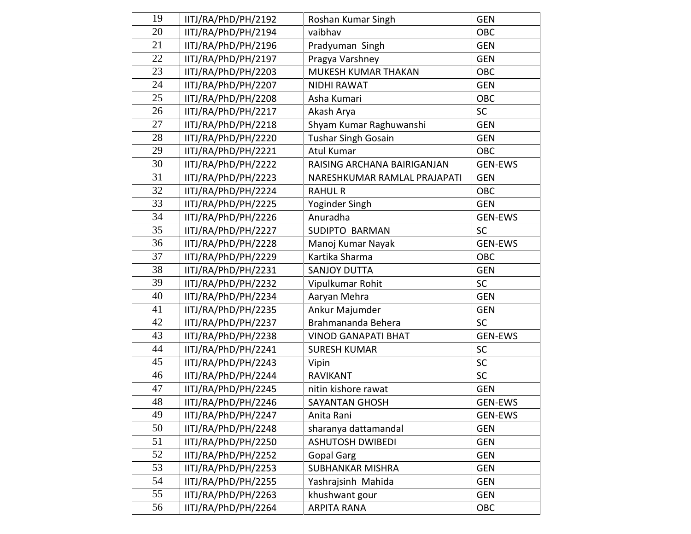| 19 | IITJ/RA/PhD/PH/2192 | Roshan Kumar Singh           | <b>GEN</b>     |
|----|---------------------|------------------------------|----------------|
| 20 | IITJ/RA/PhD/PH/2194 | vaibhav                      | OBC            |
| 21 | IITJ/RA/PhD/PH/2196 | Pradyuman Singh              | <b>GEN</b>     |
| 22 | IITJ/RA/PhD/PH/2197 | Pragya Varshney              | <b>GEN</b>     |
| 23 | IITJ/RA/PhD/PH/2203 | MUKESH KUMAR THAKAN          | OBC            |
| 24 | IITJ/RA/PhD/PH/2207 | <b>NIDHI RAWAT</b>           | <b>GEN</b>     |
| 25 | IITJ/RA/PhD/PH/2208 | Asha Kumari                  | OBC            |
| 26 | IITJ/RA/PhD/PH/2217 | Akash Arya                   | <b>SC</b>      |
| 27 | IITJ/RA/PhD/PH/2218 | Shyam Kumar Raghuwanshi      | <b>GEN</b>     |
| 28 | IITJ/RA/PhD/PH/2220 | <b>Tushar Singh Gosain</b>   | <b>GEN</b>     |
| 29 | IITJ/RA/PhD/PH/2221 | <b>Atul Kumar</b>            | OBC            |
| 30 | IITJ/RA/PhD/PH/2222 | RAISING ARCHANA BAIRIGANJAN  | <b>GEN-EWS</b> |
| 31 | IITJ/RA/PhD/PH/2223 | NARESHKUMAR RAMLAL PRAJAPATI | <b>GEN</b>     |
| 32 | IITJ/RA/PhD/PH/2224 | <b>RAHUL R</b>               | OBC            |
| 33 | IITJ/RA/PhD/PH/2225 | Yoginder Singh               | <b>GEN</b>     |
| 34 | IITJ/RA/PhD/PH/2226 | Anuradha                     | <b>GEN-EWS</b> |
| 35 | IITJ/RA/PhD/PH/2227 | SUDIPTO BARMAN               | <b>SC</b>      |
| 36 | IITJ/RA/PhD/PH/2228 | Manoj Kumar Nayak            | <b>GEN-EWS</b> |
| 37 | IITJ/RA/PhD/PH/2229 | Kartika Sharma               | OBC            |
| 38 | IITJ/RA/PhD/PH/2231 | <b>SANJOY DUTTA</b>          | <b>GEN</b>     |
| 39 | IITJ/RA/PhD/PH/2232 | Vipulkumar Rohit             | SC             |
| 40 | IITJ/RA/PhD/PH/2234 | Aaryan Mehra                 | <b>GEN</b>     |
| 41 | IITJ/RA/PhD/PH/2235 | Ankur Majumder               | <b>GEN</b>     |
| 42 | IITJ/RA/PhD/PH/2237 | Brahmananda Behera           | <b>SC</b>      |
| 43 | IITJ/RA/PhD/PH/2238 | <b>VINOD GANAPATI BHAT</b>   | GEN-EWS        |
| 44 | IITJ/RA/PhD/PH/2241 | <b>SURESH KUMAR</b>          | <b>SC</b>      |
| 45 | IITJ/RA/PhD/PH/2243 | Vipin                        | <b>SC</b>      |
| 46 | IITJ/RA/PhD/PH/2244 | RAVIKANT                     | <b>SC</b>      |
| 47 | IITJ/RA/PhD/PH/2245 | nitin kishore rawat          | <b>GEN</b>     |
| 48 | IITJ/RA/PhD/PH/2246 | <b>SAYANTAN GHOSH</b>        | GEN-EWS        |
| 49 | IITJ/RA/PhD/PH/2247 | Anita Rani                   | <b>GEN-EWS</b> |
| 50 | IITJ/RA/PhD/PH/2248 | sharanya dattamandal         | <b>GEN</b>     |
| 51 | IITJ/RA/PhD/PH/2250 | <b>ASHUTOSH DWIBEDI</b>      | <b>GEN</b>     |
| 52 | IITJ/RA/PhD/PH/2252 | <b>Gopal Garg</b>            | <b>GEN</b>     |
| 53 | IITJ/RA/PhD/PH/2253 | <b>SUBHANKAR MISHRA</b>      | <b>GEN</b>     |
| 54 | IITJ/RA/PhD/PH/2255 | Yashrajsinh Mahida           | <b>GEN</b>     |
| 55 | IITJ/RA/PhD/PH/2263 | khushwant gour               | <b>GEN</b>     |
| 56 | IITJ/RA/PhD/PH/2264 | <b>ARPITA RANA</b>           | OBC            |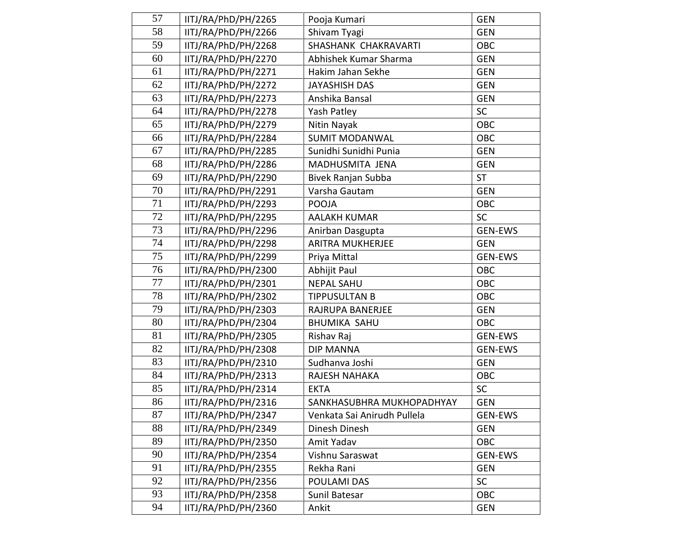| 57 | IITJ/RA/PhD/PH/2265 | Pooja Kumari                | <b>GEN</b>     |
|----|---------------------|-----------------------------|----------------|
| 58 | IITJ/RA/PhD/PH/2266 | Shivam Tyagi                | <b>GEN</b>     |
| 59 | IITJ/RA/PhD/PH/2268 | SHASHANK CHAKRAVARTI        | OBC            |
| 60 | IITJ/RA/PhD/PH/2270 | Abhishek Kumar Sharma       | <b>GEN</b>     |
| 61 | IITJ/RA/PhD/PH/2271 | Hakim Jahan Sekhe           | <b>GEN</b>     |
| 62 | IITJ/RA/PhD/PH/2272 | <b>JAYASHISH DAS</b>        | <b>GEN</b>     |
| 63 | IITJ/RA/PhD/PH/2273 | Anshika Bansal              | <b>GEN</b>     |
| 64 | IITJ/RA/PhD/PH/2278 | Yash Patley                 | <b>SC</b>      |
| 65 | IITJ/RA/PhD/PH/2279 | Nitin Nayak                 | OBC            |
| 66 | IITJ/RA/PhD/PH/2284 | <b>SUMIT MODANWAL</b>       | OBC            |
| 67 | IITJ/RA/PhD/PH/2285 | Sunidhi Sunidhi Punia       | <b>GEN</b>     |
| 68 | IITJ/RA/PhD/PH/2286 | MADHUSMITA JENA             | <b>GEN</b>     |
| 69 | IITJ/RA/PhD/PH/2290 | Bivek Ranjan Subba          | <b>ST</b>      |
| 70 | IITJ/RA/PhD/PH/2291 | Varsha Gautam               | <b>GEN</b>     |
| 71 | IITJ/RA/PhD/PH/2293 | <b>POOJA</b>                | OBC            |
| 72 | IITJ/RA/PhD/PH/2295 | <b>AALAKH KUMAR</b>         | <b>SC</b>      |
| 73 | IITJ/RA/PhD/PH/2296 | Anirban Dasgupta            | <b>GEN-EWS</b> |
| 74 | IITJ/RA/PhD/PH/2298 | <b>ARITRA MUKHERJEE</b>     | <b>GEN</b>     |
| 75 | IITJ/RA/PhD/PH/2299 | Priya Mittal                | <b>GEN-EWS</b> |
| 76 | IITJ/RA/PhD/PH/2300 | Abhijit Paul                | OBC            |
| 77 | IITJ/RA/PhD/PH/2301 | <b>NEPAL SAHU</b>           | OBC            |
| 78 | IITJ/RA/PhD/PH/2302 | <b>TIPPUSULTAN B</b>        | OBC            |
| 79 | IITJ/RA/PhD/PH/2303 | RAJRUPA BANERJEE            | <b>GEN</b>     |
| 80 | IITJ/RA/PhD/PH/2304 | <b>BHUMIKA SAHU</b>         | OBC            |
| 81 | IITJ/RA/PhD/PH/2305 | Rishav Raj                  | <b>GEN-EWS</b> |
| 82 | IITJ/RA/PhD/PH/2308 | <b>DIP MANNA</b>            | <b>GEN-EWS</b> |
| 83 | IITJ/RA/PhD/PH/2310 | Sudhanva Joshi              | <b>GEN</b>     |
| 84 | IITJ/RA/PhD/PH/2313 | RAJESH NAHAKA               | OBC            |
| 85 | IITJ/RA/PhD/PH/2314 | <b>EKTA</b>                 | <b>SC</b>      |
| 86 | IITJ/RA/PhD/PH/2316 | SANKHASUBHRA MUKHOPADHYAY   | GEN            |
| 87 | IITJ/RA/PhD/PH/2347 | Venkata Sai Anirudh Pullela | <b>GEN-EWS</b> |
| 88 | IITJ/RA/PhD/PH/2349 | Dinesh Dinesh               | <b>GEN</b>     |
| 89 | IITJ/RA/PhD/PH/2350 | Amit Yadav                  | OBC            |
| 90 | IITJ/RA/PhD/PH/2354 | Vishnu Saraswat             | <b>GEN-EWS</b> |
| 91 | IITJ/RA/PhD/PH/2355 | Rekha Rani                  | <b>GEN</b>     |
| 92 | IITJ/RA/PhD/PH/2356 | POULAMI DAS                 | <b>SC</b>      |
| 93 | IITJ/RA/PhD/PH/2358 | Sunil Batesar               | OBC            |
| 94 | IITJ/RA/PhD/PH/2360 | Ankit                       | <b>GEN</b>     |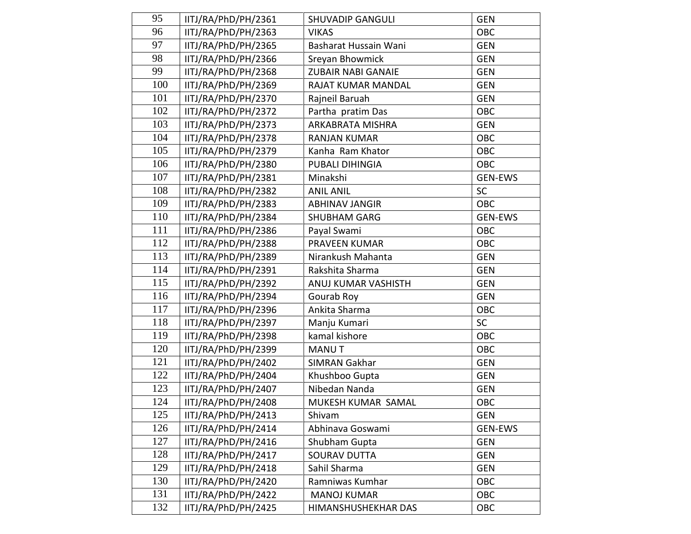| 95  | IITJ/RA/PhD/PH/2361 | <b>SHUVADIP GANGULI</b>   | <b>GEN</b>     |
|-----|---------------------|---------------------------|----------------|
| 96  | IITJ/RA/PhD/PH/2363 | <b>VIKAS</b>              | OBC            |
| 97  | IITJ/RA/PhD/PH/2365 | Basharat Hussain Wani     | <b>GEN</b>     |
| 98  | IITJ/RA/PhD/PH/2366 | Sreyan Bhowmick           | <b>GEN</b>     |
| 99  | IITJ/RA/PhD/PH/2368 | <b>ZUBAIR NABI GANAIE</b> | <b>GEN</b>     |
| 100 | IITJ/RA/PhD/PH/2369 | RAJAT KUMAR MANDAL        | <b>GEN</b>     |
| 101 | IITJ/RA/PhD/PH/2370 | Rajneil Baruah            | <b>GEN</b>     |
| 102 | IITJ/RA/PhD/PH/2372 | Partha pratim Das         | OBC            |
| 103 | IITJ/RA/PhD/PH/2373 | ARKABRATA MISHRA          | <b>GEN</b>     |
| 104 | IITJ/RA/PhD/PH/2378 | <b>RANJAN KUMAR</b>       | OBC            |
| 105 | IITJ/RA/PhD/PH/2379 | Kanha Ram Khator          | OBC            |
| 106 | IITJ/RA/PhD/PH/2380 | PUBALI DIHINGIA           | OBC            |
| 107 | IITJ/RA/PhD/PH/2381 | Minakshi                  | <b>GEN-EWS</b> |
| 108 | IITJ/RA/PhD/PH/2382 | <b>ANIL ANIL</b>          | <b>SC</b>      |
| 109 | IITJ/RA/PhD/PH/2383 | <b>ABHINAV JANGIR</b>     | OBC            |
| 110 | IITJ/RA/PhD/PH/2384 | <b>SHUBHAM GARG</b>       | <b>GEN-EWS</b> |
| 111 | IITJ/RA/PhD/PH/2386 | Payal Swami               | OBC            |
| 112 | IITJ/RA/PhD/PH/2388 | <b>PRAVEEN KUMAR</b>      | OBC            |
| 113 | IITJ/RA/PhD/PH/2389 | Nirankush Mahanta         | <b>GEN</b>     |
| 114 | IITJ/RA/PhD/PH/2391 | Rakshita Sharma           | <b>GEN</b>     |
| 115 | IITJ/RA/PhD/PH/2392 | ANUJ KUMAR VASHISTH       | <b>GEN</b>     |
| 116 | IITJ/RA/PhD/PH/2394 | Gourab Roy                | <b>GEN</b>     |
| 117 | IITJ/RA/PhD/PH/2396 | Ankita Sharma             | OBC            |
| 118 | IITJ/RA/PhD/PH/2397 | Manju Kumari              | <b>SC</b>      |
| 119 | IITJ/RA/PhD/PH/2398 | kamal kishore             | OBC            |
| 120 | IITJ/RA/PhD/PH/2399 | <b>MANUT</b>              | OBC            |
| 121 | IITJ/RA/PhD/PH/2402 | <b>SIMRAN Gakhar</b>      | <b>GEN</b>     |
| 122 | IITJ/RA/PhD/PH/2404 | Khushboo Gupta            | <b>GEN</b>     |
| 123 | IITJ/RA/PhD/PH/2407 | Nibedan Nanda             | <b>GEN</b>     |
| 124 | IITJ/RA/PhD/PH/2408 | MUKESH KUMAR SAMAL        | OBC            |
| 125 | IITJ/RA/PhD/PH/2413 | Shivam                    | <b>GEN</b>     |
| 126 | IITJ/RA/PhD/PH/2414 | Abhinava Goswami          | <b>GEN-EWS</b> |
| 127 | IITJ/RA/PhD/PH/2416 | Shubham Gupta             | <b>GEN</b>     |
| 128 | IITJ/RA/PhD/PH/2417 | <b>SOURAV DUTTA</b>       | <b>GEN</b>     |
| 129 | IITJ/RA/PhD/PH/2418 | Sahil Sharma              | <b>GEN</b>     |
| 130 | IITJ/RA/PhD/PH/2420 | Ramniwas Kumhar           | OBC            |
| 131 | IITJ/RA/PhD/PH/2422 | <b>MANOJ KUMAR</b>        | OBC            |
| 132 | IITJ/RA/PhD/PH/2425 | HIMANSHUSHEKHAR DAS       | OBC            |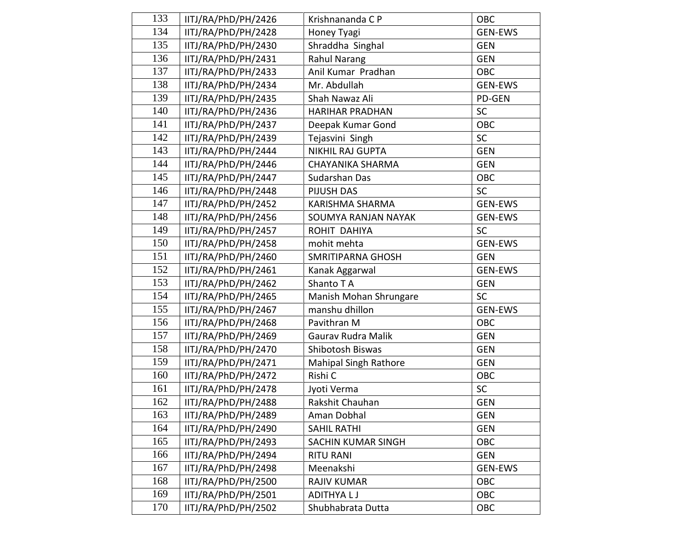| 133 | IITJ/RA/PhD/PH/2426 | Krishnananda C P             | OBC            |
|-----|---------------------|------------------------------|----------------|
| 134 | IITJ/RA/PhD/PH/2428 | Honey Tyagi                  | <b>GEN-EWS</b> |
| 135 | IITJ/RA/PhD/PH/2430 | Shraddha Singhal             | <b>GEN</b>     |
| 136 | IITJ/RA/PhD/PH/2431 | <b>Rahul Narang</b>          | <b>GEN</b>     |
| 137 | IITJ/RA/PhD/PH/2433 | Anil Kumar Pradhan           | OBC            |
| 138 | IITJ/RA/PhD/PH/2434 | Mr. Abdullah                 | <b>GEN-EWS</b> |
| 139 | IITJ/RA/PhD/PH/2435 | Shah Nawaz Ali               | PD-GEN         |
| 140 | IITJ/RA/PhD/PH/2436 | <b>HARIHAR PRADHAN</b>       | <b>SC</b>      |
| 141 | IITJ/RA/PhD/PH/2437 | Deepak Kumar Gond            | OBC            |
| 142 | IITJ/RA/PhD/PH/2439 | Tejasvini Singh              | <b>SC</b>      |
| 143 | IITJ/RA/PhD/PH/2444 | <b>NIKHIL RAJ GUPTA</b>      | <b>GEN</b>     |
| 144 | IITJ/RA/PhD/PH/2446 | <b>CHAYANIKA SHARMA</b>      | <b>GEN</b>     |
| 145 | IITJ/RA/PhD/PH/2447 | Sudarshan Das                | OBC            |
| 146 | IITJ/RA/PhD/PH/2448 | PIJUSH DAS                   | <b>SC</b>      |
| 147 | IITJ/RA/PhD/PH/2452 | <b>KARISHMA SHARMA</b>       | <b>GEN-EWS</b> |
| 148 | IITJ/RA/PhD/PH/2456 | SOUMYA RANJAN NAYAK          | <b>GEN-EWS</b> |
| 149 | IITJ/RA/PhD/PH/2457 | ROHIT DAHIYA                 | <b>SC</b>      |
| 150 | IITJ/RA/PhD/PH/2458 | mohit mehta                  | <b>GEN-EWS</b> |
| 151 | IITJ/RA/PhD/PH/2460 | <b>SMRITIPARNA GHOSH</b>     | <b>GEN</b>     |
| 152 | IITJ/RA/PhD/PH/2461 | Kanak Aggarwal               | <b>GEN-EWS</b> |
| 153 | IITJ/RA/PhD/PH/2462 | Shanto TA                    | <b>GEN</b>     |
| 154 | IITJ/RA/PhD/PH/2465 | Manish Mohan Shrungare       | <b>SC</b>      |
| 155 | IITJ/RA/PhD/PH/2467 | manshu dhillon               | <b>GEN-EWS</b> |
| 156 | IITJ/RA/PhD/PH/2468 | Pavithran M                  | OBC            |
| 157 | IITJ/RA/PhD/PH/2469 | Gaurav Rudra Malik           | <b>GEN</b>     |
| 158 | IITJ/RA/PhD/PH/2470 | Shibotosh Biswas             | <b>GEN</b>     |
| 159 | IITJ/RA/PhD/PH/2471 | <b>Mahipal Singh Rathore</b> | <b>GEN</b>     |
| 160 | IITJ/RA/PhD/PH/2472 | Rishi C                      | OBC            |
| 161 | IITJ/RA/PhD/PH/2478 | Jyoti Verma                  | SC             |
| 162 | IITJ/RA/PhD/PH/2488 | Rakshit Chauhan              | <b>GEN</b>     |
| 163 | IITJ/RA/PhD/PH/2489 | Aman Dobhal                  | <b>GEN</b>     |
| 164 | IITJ/RA/PhD/PH/2490 | <b>SAHIL RATHI</b>           | <b>GEN</b>     |
| 165 | IITJ/RA/PhD/PH/2493 | SACHIN KUMAR SINGH           | OBC            |
| 166 | IITJ/RA/PhD/PH/2494 | <b>RITU RANI</b>             | <b>GEN</b>     |
| 167 | IITJ/RA/PhD/PH/2498 | Meenakshi                    | <b>GEN-EWS</b> |
| 168 | IITJ/RA/PhD/PH/2500 | <b>RAJIV KUMAR</b>           | OBC            |
| 169 | IITJ/RA/PhD/PH/2501 | <b>ADITHYALJ</b>             | OBC            |
| 170 | IITJ/RA/PhD/PH/2502 | Shubhabrata Dutta            | OBC            |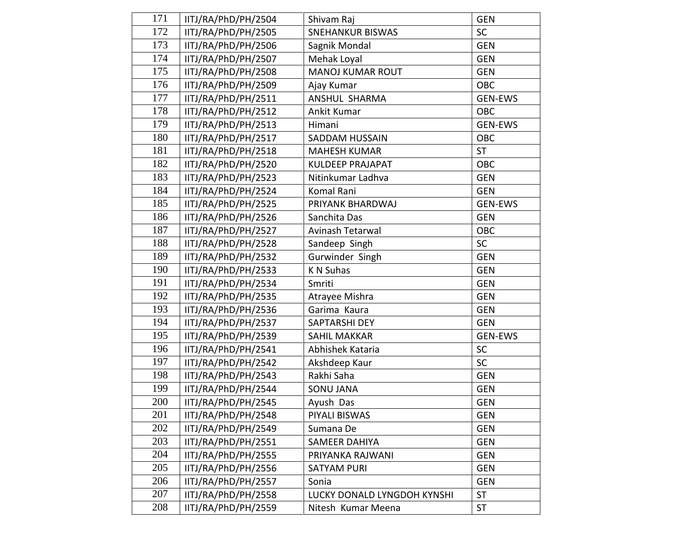| 171 | IITJ/RA/PhD/PH/2504 | Shivam Raj                  | <b>GEN</b>     |
|-----|---------------------|-----------------------------|----------------|
| 172 | IITJ/RA/PhD/PH/2505 | <b>SNEHANKUR BISWAS</b>     | <b>SC</b>      |
| 173 | IITJ/RA/PhD/PH/2506 | Sagnik Mondal               | <b>GEN</b>     |
| 174 | IITJ/RA/PhD/PH/2507 | Mehak Loyal                 | <b>GEN</b>     |
| 175 | IITJ/RA/PhD/PH/2508 | <b>MANOJ KUMAR ROUT</b>     | <b>GEN</b>     |
| 176 | IITJ/RA/PhD/PH/2509 | Ajay Kumar                  | OBC            |
| 177 | IITJ/RA/PhD/PH/2511 | ANSHUL SHARMA               | GEN-EWS        |
| 178 | IITJ/RA/PhD/PH/2512 | Ankit Kumar                 | OBC            |
| 179 | IITJ/RA/PhD/PH/2513 | Himani                      | GEN-EWS        |
| 180 | IITJ/RA/PhD/PH/2517 | <b>SADDAM HUSSAIN</b>       | OBC            |
| 181 | IITJ/RA/PhD/PH/2518 | <b>MAHESH KUMAR</b>         | <b>ST</b>      |
| 182 | IITJ/RA/PhD/PH/2520 | <b>KULDEEP PRAJAPAT</b>     | OBC            |
| 183 | IITJ/RA/PhD/PH/2523 | Nitinkumar Ladhva           | <b>GEN</b>     |
| 184 | IITJ/RA/PhD/PH/2524 | Komal Rani                  | <b>GEN</b>     |
| 185 | IITJ/RA/PhD/PH/2525 | PRIYANK BHARDWAJ            | <b>GEN-EWS</b> |
| 186 | IITJ/RA/PhD/PH/2526 | Sanchita Das                | <b>GEN</b>     |
| 187 | IITJ/RA/PhD/PH/2527 | Avinash Tetarwal            | OBC            |
| 188 | IITJ/RA/PhD/PH/2528 | Sandeep Singh               | <b>SC</b>      |
| 189 | IITJ/RA/PhD/PH/2532 | Gurwinder Singh             | <b>GEN</b>     |
| 190 | IITJ/RA/PhD/PH/2533 | K N Suhas                   | <b>GEN</b>     |
| 191 | IITJ/RA/PhD/PH/2534 | Smriti                      | <b>GEN</b>     |
| 192 | IITJ/RA/PhD/PH/2535 | Atrayee Mishra              | <b>GEN</b>     |
| 193 | IITJ/RA/PhD/PH/2536 | Garima Kaura                | <b>GEN</b>     |
| 194 | IITJ/RA/PhD/PH/2537 | SAPTARSHI DEY               | <b>GEN</b>     |
| 195 | IITJ/RA/PhD/PH/2539 | <b>SAHIL MAKKAR</b>         | <b>GEN-EWS</b> |
| 196 | IITJ/RA/PhD/PH/2541 | Abhishek Kataria            | <b>SC</b>      |
| 197 | IITJ/RA/PhD/PH/2542 | Akshdeep Kaur               | SC             |
| 198 | IITJ/RA/PhD/PH/2543 | Rakhi Saha                  | <b>GEN</b>     |
| 199 | IITJ/RA/PhD/PH/2544 | <b>SONU JANA</b>            | <b>GEN</b>     |
| 200 | IITJ/RA/PhD/PH/2545 | Ayush Das                   | <b>GEN</b>     |
| 201 | IITJ/RA/PhD/PH/2548 | PIYALI BISWAS               | <b>GEN</b>     |
| 202 | IITJ/RA/PhD/PH/2549 | Sumana De                   | <b>GEN</b>     |
| 203 | IITJ/RA/PhD/PH/2551 | SAMEER DAHIYA               | <b>GEN</b>     |
| 204 | IITJ/RA/PhD/PH/2555 | PRIYANKA RAJWANI            | <b>GEN</b>     |
| 205 | IITJ/RA/PhD/PH/2556 | <b>SATYAM PURI</b>          | <b>GEN</b>     |
| 206 | IITJ/RA/PhD/PH/2557 | Sonia                       | <b>GEN</b>     |
| 207 | IITJ/RA/PhD/PH/2558 | LUCKY DONALD LYNGDOH KYNSHI | <b>ST</b>      |
| 208 | IITJ/RA/PhD/PH/2559 | Nitesh Kumar Meena          | <b>ST</b>      |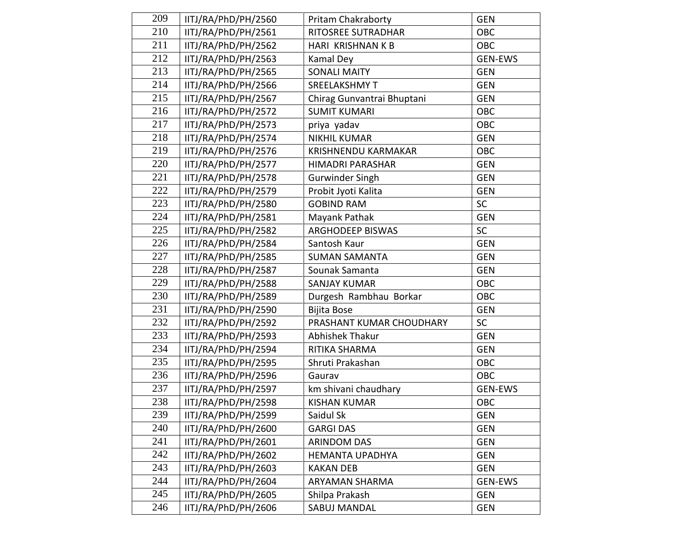| 209 | IITJ/RA/PhD/PH/2560 | <b>Pritam Chakraborty</b>  | <b>GEN</b>     |
|-----|---------------------|----------------------------|----------------|
| 210 | IITJ/RA/PhD/PH/2561 | RITOSREE SUTRADHAR         | OBC            |
| 211 | IITJ/RA/PhD/PH/2562 | HARI KRISHNAN K B          | <b>OBC</b>     |
| 212 | IITJ/RA/PhD/PH/2563 | Kamal Dey                  | <b>GEN-EWS</b> |
| 213 | IITJ/RA/PhD/PH/2565 | <b>SONALI MAITY</b>        | <b>GEN</b>     |
| 214 | IITJ/RA/PhD/PH/2566 | <b>SREELAKSHMY T</b>       | <b>GEN</b>     |
| 215 | IITJ/RA/PhD/PH/2567 | Chirag Gunvantrai Bhuptani | <b>GEN</b>     |
| 216 | IITJ/RA/PhD/PH/2572 | <b>SUMIT KUMARI</b>        | OBC            |
| 217 | IITJ/RA/PhD/PH/2573 | priya yadav                | OBC            |
| 218 | IITJ/RA/PhD/PH/2574 | <b>NIKHIL KUMAR</b>        | <b>GEN</b>     |
| 219 | IITJ/RA/PhD/PH/2576 | <b>KRISHNENDU KARMAKAR</b> | OBC            |
| 220 | IITJ/RA/PhD/PH/2577 | HIMADRI PARASHAR           | <b>GEN</b>     |
| 221 | IITJ/RA/PhD/PH/2578 | <b>Gurwinder Singh</b>     | <b>GEN</b>     |
| 222 | IITJ/RA/PhD/PH/2579 | Probit Jyoti Kalita        | <b>GEN</b>     |
| 223 | IITJ/RA/PhD/PH/2580 | <b>GOBIND RAM</b>          | SC             |
| 224 | IITJ/RA/PhD/PH/2581 | Mayank Pathak              | <b>GEN</b>     |
| 225 | IITJ/RA/PhD/PH/2582 | ARGHODEEP BISWAS           | SC             |
| 226 | IITJ/RA/PhD/PH/2584 | Santosh Kaur               | <b>GEN</b>     |
| 227 | IITJ/RA/PhD/PH/2585 | <b>SUMAN SAMANTA</b>       | <b>GEN</b>     |
| 228 | IITJ/RA/PhD/PH/2587 | Sounak Samanta             | <b>GEN</b>     |
| 229 | IITJ/RA/PhD/PH/2588 | <b>SANJAY KUMAR</b>        | OBC            |
| 230 | IITJ/RA/PhD/PH/2589 | Durgesh Rambhau Borkar     | OBC            |
| 231 | IITJ/RA/PhD/PH/2590 | Bijita Bose                | <b>GEN</b>     |
| 232 | IITJ/RA/PhD/PH/2592 | PRASHANT KUMAR CHOUDHARY   | <b>SC</b>      |
| 233 | IITJ/RA/PhD/PH/2593 | Abhishek Thakur            | <b>GEN</b>     |
| 234 | IITJ/RA/PhD/PH/2594 | RITIKA SHARMA              | <b>GEN</b>     |
| 235 | IITJ/RA/PhD/PH/2595 | Shruti Prakashan           | <b>OBC</b>     |
| 236 | IITJ/RA/PhD/PH/2596 | Gaurav                     | OBC            |
| 237 | IITJ/RA/PhD/PH/2597 | km shivani chaudhary       | <b>GEN-EWS</b> |
| 238 | IITJ/RA/PhD/PH/2598 | <b>KISHAN KUMAR</b>        | OBC            |
| 239 | IITJ/RA/PhD/PH/2599 | Saidul Sk                  | <b>GEN</b>     |
| 240 | IITJ/RA/PhD/PH/2600 | <b>GARGI DAS</b>           | <b>GEN</b>     |
| 241 | IITJ/RA/PhD/PH/2601 | <b>ARINDOM DAS</b>         | <b>GEN</b>     |
| 242 | IITJ/RA/PhD/PH/2602 | <b>HEMANTA UPADHYA</b>     | <b>GEN</b>     |
| 243 | IITJ/RA/PhD/PH/2603 | <b>KAKAN DEB</b>           | <b>GEN</b>     |
| 244 | IITJ/RA/PhD/PH/2604 | ARYAMAN SHARMA             | GEN-EWS        |
| 245 | IITJ/RA/PhD/PH/2605 | Shilpa Prakash             | <b>GEN</b>     |
| 246 | IITJ/RA/PhD/PH/2606 | <b>SABUJ MANDAL</b>        | <b>GEN</b>     |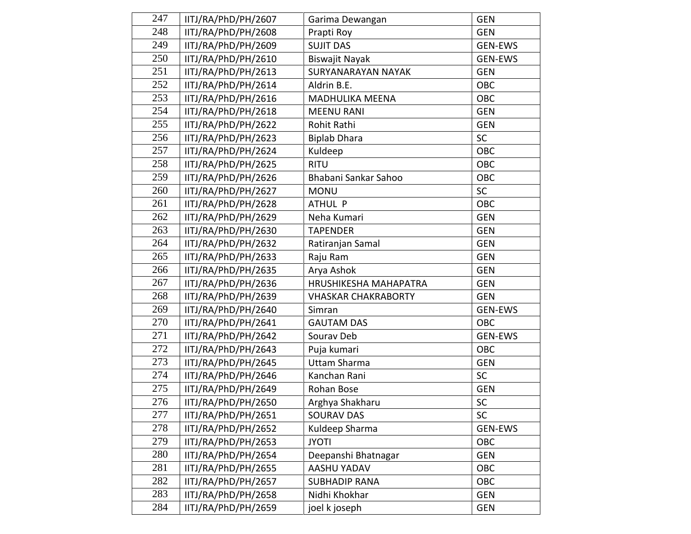| 247 | IITJ/RA/PhD/PH/2607 | Garima Dewangan            | <b>GEN</b>     |
|-----|---------------------|----------------------------|----------------|
| 248 | IITJ/RA/PhD/PH/2608 | Prapti Roy                 | <b>GEN</b>     |
| 249 | IITJ/RA/PhD/PH/2609 | <b>SUJIT DAS</b>           | <b>GEN-EWS</b> |
| 250 | IITJ/RA/PhD/PH/2610 | <b>Biswajit Nayak</b>      | <b>GEN-EWS</b> |
| 251 | IITJ/RA/PhD/PH/2613 | SURYANARAYAN NAYAK         | <b>GEN</b>     |
| 252 | IITJ/RA/PhD/PH/2614 | Aldrin B.E.                | OBC            |
| 253 | IITJ/RA/PhD/PH/2616 | <b>MADHULIKA MEENA</b>     | OBC            |
| 254 | IITJ/RA/PhD/PH/2618 | <b>MEENU RANI</b>          | <b>GEN</b>     |
| 255 | IITJ/RA/PhD/PH/2622 | Rohit Rathi                | <b>GEN</b>     |
| 256 | IITJ/RA/PhD/PH/2623 | <b>Biplab Dhara</b>        | SC             |
| 257 | IITJ/RA/PhD/PH/2624 | Kuldeep                    | OBC            |
| 258 | IITJ/RA/PhD/PH/2625 | <b>RITU</b>                | OBC            |
| 259 | IITJ/RA/PhD/PH/2626 | Bhabani Sankar Sahoo       | OBC            |
| 260 | IITJ/RA/PhD/PH/2627 | <b>MONU</b>                | <b>SC</b>      |
| 261 | IITJ/RA/PhD/PH/2628 | ATHUL P                    | OBC            |
| 262 | IITJ/RA/PhD/PH/2629 | Neha Kumari                | <b>GEN</b>     |
| 263 | IITJ/RA/PhD/PH/2630 | <b>TAPENDER</b>            | GEN            |
| 264 | IITJ/RA/PhD/PH/2632 | Ratiranjan Samal           | <b>GEN</b>     |
| 265 | IITJ/RA/PhD/PH/2633 | Raju Ram                   | <b>GEN</b>     |
| 266 | IITJ/RA/PhD/PH/2635 | Arya Ashok                 | <b>GEN</b>     |
| 267 | IITJ/RA/PhD/PH/2636 | HRUSHIKESHA MAHAPATRA      | <b>GEN</b>     |
| 268 | IITJ/RA/PhD/PH/2639 | <b>VHASKAR CHAKRABORTY</b> | <b>GEN</b>     |
| 269 | IITJ/RA/PhD/PH/2640 | Simran                     | <b>GEN-EWS</b> |
| 270 | IITJ/RA/PhD/PH/2641 | <b>GAUTAM DAS</b>          | OBC            |
| 271 | IITJ/RA/PhD/PH/2642 | Sourav Deb                 | <b>GEN-EWS</b> |
| 272 | IITJ/RA/PhD/PH/2643 | Puja kumari                | OBC            |
| 273 | IITJ/RA/PhD/PH/2645 | Uttam Sharma               | <b>GEN</b>     |
| 274 | IITJ/RA/PhD/PH/2646 | Kanchan Rani               | <b>SC</b>      |
| 275 | IITJ/RA/PhD/PH/2649 | Rohan Bose                 | <b>GEN</b>     |
| 276 | IITJ/RA/PhD/PH/2650 | Arghya Shakharu            | SC             |
| 277 | IITJ/RA/PhD/PH/2651 | <b>SOURAV DAS</b>          | <b>SC</b>      |
| 278 | IITJ/RA/PhD/PH/2652 | Kuldeep Sharma             | GEN-EWS        |
| 279 | IITJ/RA/PhD/PH/2653 | <b>JYOTI</b>               | OBC            |
| 280 | IITJ/RA/PhD/PH/2654 | Deepanshi Bhatnagar        | <b>GEN</b>     |
| 281 | IITJ/RA/PhD/PH/2655 | AASHU YADAV                | OBC            |
| 282 | IITJ/RA/PhD/PH/2657 | <b>SUBHADIP RANA</b>       | OBC            |
| 283 | IITJ/RA/PhD/PH/2658 | Nidhi Khokhar              | <b>GEN</b>     |
| 284 | IITJ/RA/PhD/PH/2659 | joel k joseph              | <b>GEN</b>     |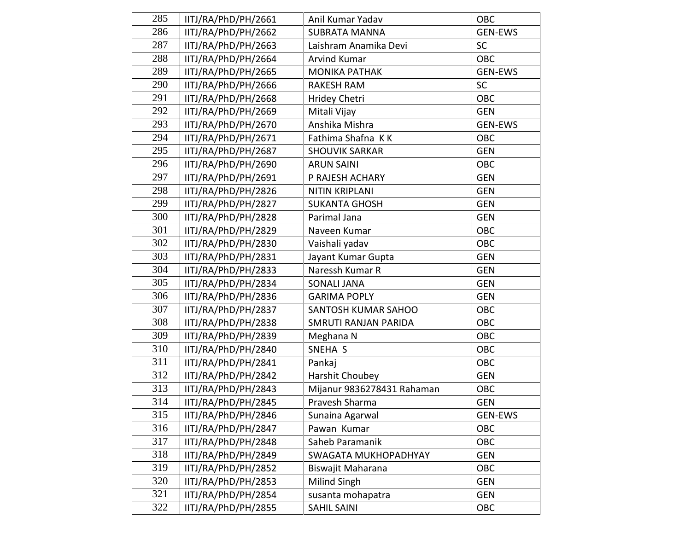| 285 | IITJ/RA/PhD/PH/2661 | Anil Kumar Yadav           | OBC            |
|-----|---------------------|----------------------------|----------------|
| 286 | IITJ/RA/PhD/PH/2662 | <b>SUBRATA MANNA</b>       | <b>GEN-EWS</b> |
| 287 | IITJ/RA/PhD/PH/2663 | Laishram Anamika Devi      | <b>SC</b>      |
| 288 | IITJ/RA/PhD/PH/2664 | <b>Arvind Kumar</b>        | <b>OBC</b>     |
| 289 | IITJ/RA/PhD/PH/2665 | <b>MONIKA PATHAK</b>       | <b>GEN-EWS</b> |
| 290 | IITJ/RA/PhD/PH/2666 | <b>RAKESH RAM</b>          | <b>SC</b>      |
| 291 | IITJ/RA/PhD/PH/2668 | Hridey Chetri              | OBC            |
| 292 | IITJ/RA/PhD/PH/2669 | Mitali Vijay               | <b>GEN</b>     |
| 293 | IITJ/RA/PhD/PH/2670 | Anshika Mishra             | GEN-EWS        |
| 294 | IITJ/RA/PhD/PH/2671 | Fathima Shafna KK          | OBC            |
| 295 | IITJ/RA/PhD/PH/2687 | <b>SHOUVIK SARKAR</b>      | <b>GEN</b>     |
| 296 | IITJ/RA/PhD/PH/2690 | <b>ARUN SAINI</b>          | OBC            |
| 297 | IITJ/RA/PhD/PH/2691 | P RAJESH ACHARY            | <b>GEN</b>     |
| 298 | IITJ/RA/PhD/PH/2826 | <b>NITIN KRIPLANI</b>      | <b>GEN</b>     |
| 299 | IITJ/RA/PhD/PH/2827 | <b>SUKANTA GHOSH</b>       | <b>GEN</b>     |
| 300 | IITJ/RA/PhD/PH/2828 | Parimal Jana               | <b>GEN</b>     |
| 301 | IITJ/RA/PhD/PH/2829 | Naveen Kumar               | OBC            |
| 302 | IITJ/RA/PhD/PH/2830 | Vaishali yadav             | OBC            |
| 303 | IITJ/RA/PhD/PH/2831 | Jayant Kumar Gupta         | <b>GEN</b>     |
| 304 | IITJ/RA/PhD/PH/2833 | Naressh Kumar R            | <b>GEN</b>     |
| 305 | IITJ/RA/PhD/PH/2834 | <b>SONALI JANA</b>         | <b>GEN</b>     |
| 306 | IITJ/RA/PhD/PH/2836 | <b>GARIMA POPLY</b>        | <b>GEN</b>     |
| 307 | IITJ/RA/PhD/PH/2837 | SANTOSH KUMAR SAHOO        | OBC            |
| 308 | IITJ/RA/PhD/PH/2838 | SMRUTI RANJAN PARIDA       | OBC            |
| 309 | IITJ/RA/PhD/PH/2839 | Meghana N                  | OBC            |
| 310 | IITJ/RA/PhD/PH/2840 | SNEHA S                    | OBC            |
| 311 | IITJ/RA/PhD/PH/2841 | Pankaj                     | OBC            |
| 312 | IITJ/RA/PhD/PH/2842 | Harshit Choubey            | <b>GEN</b>     |
| 313 | IITJ/RA/PhD/PH/2843 | Mijanur 9836278431 Rahaman | OBC            |
| 314 | IITJ/RA/PhD/PH/2845 | Pravesh Sharma             | <b>GEN</b>     |
| 315 | IITJ/RA/PhD/PH/2846 | Sunaina Agarwal            | <b>GEN-EWS</b> |
| 316 | IITJ/RA/PhD/PH/2847 | Pawan Kumar                | OBC            |
| 317 | IITJ/RA/PhD/PH/2848 | Saheb Paramanik            | OBC            |
| 318 | IITJ/RA/PhD/PH/2849 | SWAGATA MUKHOPADHYAY       | <b>GEN</b>     |
| 319 | IITJ/RA/PhD/PH/2852 | Biswajit Maharana          | OBC            |
| 320 | IITJ/RA/PhD/PH/2853 | Milind Singh               | <b>GEN</b>     |
| 321 | IITJ/RA/PhD/PH/2854 | susanta mohapatra          | <b>GEN</b>     |
| 322 | IITJ/RA/PhD/PH/2855 | <b>SAHIL SAINI</b>         | OBC            |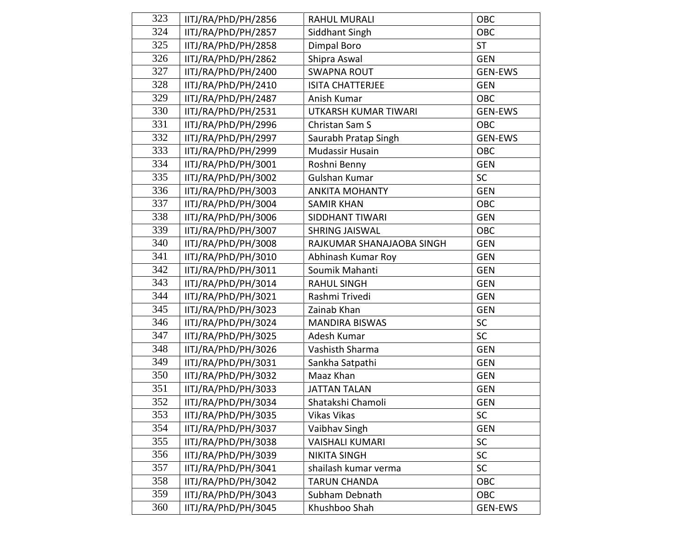| 323 | IITJ/RA/PhD/PH/2856 | <b>RAHUL MURALI</b>       | OBC            |
|-----|---------------------|---------------------------|----------------|
| 324 | IITJ/RA/PhD/PH/2857 | Siddhant Singh            | OBC            |
| 325 | IITJ/RA/PhD/PH/2858 | Dimpal Boro               | <b>ST</b>      |
| 326 | IITJ/RA/PhD/PH/2862 | Shipra Aswal              | <b>GEN</b>     |
| 327 | IITJ/RA/PhD/PH/2400 | <b>SWAPNA ROUT</b>        | GEN-EWS        |
| 328 | IITJ/RA/PhD/PH/2410 | ISITA CHATTERJEE          | <b>GEN</b>     |
| 329 | IITJ/RA/PhD/PH/2487 | Anish Kumar               | <b>OBC</b>     |
| 330 | IITJ/RA/PhD/PH/2531 | UTKARSH KUMAR TIWARI      | <b>GEN-EWS</b> |
| 331 | IITJ/RA/PhD/PH/2996 | Christan Sam S            | OBC            |
| 332 | IITJ/RA/PhD/PH/2997 | Saurabh Pratap Singh      | <b>GEN-EWS</b> |
| 333 | IITJ/RA/PhD/PH/2999 | <b>Mudassir Husain</b>    | OBC            |
| 334 | IITJ/RA/PhD/PH/3001 | Roshni Benny              | <b>GEN</b>     |
| 335 | IITJ/RA/PhD/PH/3002 | Gulshan Kumar             | <b>SC</b>      |
| 336 | IITJ/RA/PhD/PH/3003 | <b>ANKITA MOHANTY</b>     | <b>GEN</b>     |
| 337 | IITJ/RA/PhD/PH/3004 | <b>SAMIR KHAN</b>         | OBC            |
| 338 | IITJ/RA/PhD/PH/3006 | SIDDHANT TIWARI           | <b>GEN</b>     |
| 339 | IITJ/RA/PhD/PH/3007 | <b>SHRING JAISWAL</b>     | OBC            |
| 340 | IITJ/RA/PhD/PH/3008 | RAJKUMAR SHANAJAOBA SINGH | <b>GEN</b>     |
| 341 | IITJ/RA/PhD/PH/3010 | Abhinash Kumar Roy        | <b>GEN</b>     |
| 342 | IITJ/RA/PhD/PH/3011 | Soumik Mahanti            | <b>GEN</b>     |
| 343 | IITJ/RA/PhD/PH/3014 | <b>RAHUL SINGH</b>        | <b>GEN</b>     |
| 344 | IITJ/RA/PhD/PH/3021 | Rashmi Trivedi            | <b>GEN</b>     |
| 345 | IITJ/RA/PhD/PH/3023 | Zainab Khan               | <b>GEN</b>     |
| 346 | IITJ/RA/PhD/PH/3024 | <b>MANDIRA BISWAS</b>     | <b>SC</b>      |
| 347 | IITJ/RA/PhD/PH/3025 | Adesh Kumar               | SC             |
| 348 | IITJ/RA/PhD/PH/3026 | Vashisth Sharma           | <b>GEN</b>     |
| 349 | IITJ/RA/PhD/PH/3031 | Sankha Satpathi           | <b>GEN</b>     |
| 350 | IITJ/RA/PhD/PH/3032 | Maaz Khan                 | <b>GEN</b>     |
| 351 | IITJ/RA/PhD/PH/3033 | <b>JATTAN TALAN</b>       | <b>GEN</b>     |
| 352 | IITJ/RA/PhD/PH/3034 | Shatakshi Chamoli         | <b>GEN</b>     |
| 353 | IITJ/RA/PhD/PH/3035 | Vikas Vikas               | <b>SC</b>      |
| 354 | IITJ/RA/PhD/PH/3037 | Vaibhav Singh             | <b>GEN</b>     |
| 355 | IITJ/RA/PhD/PH/3038 | <b>VAISHALI KUMARI</b>    | SC             |
| 356 | IITJ/RA/PhD/PH/3039 | <b>NIKITA SINGH</b>       | SC             |
| 357 | IITJ/RA/PhD/PH/3041 | shailash kumar verma      | SC             |
| 358 | IITJ/RA/PhD/PH/3042 | <b>TARUN CHANDA</b>       | OBC            |
| 359 | IITJ/RA/PhD/PH/3043 | Subham Debnath            | OBC            |
| 360 | IITJ/RA/PhD/PH/3045 | Khushboo Shah             | <b>GEN-EWS</b> |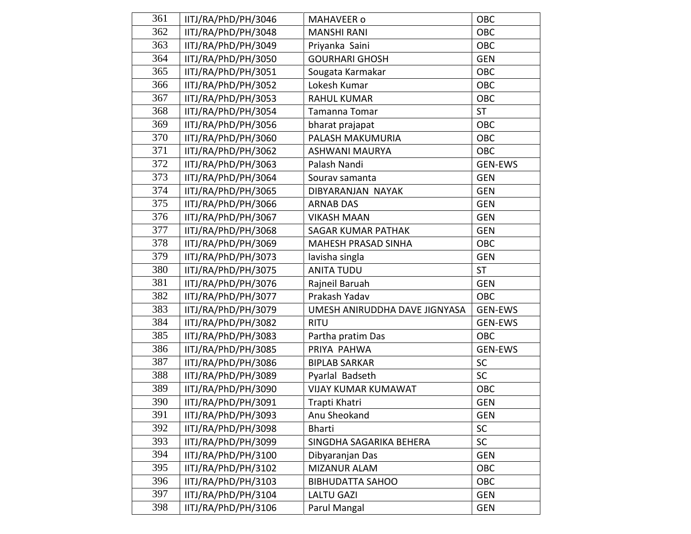| 361 | IITJ/RA/PhD/PH/3046 | MAHAVEER o                    | OBC            |
|-----|---------------------|-------------------------------|----------------|
| 362 | IITJ/RA/PhD/PH/3048 | <b>MANSHI RANI</b>            | OBC            |
| 363 | IITJ/RA/PhD/PH/3049 | Priyanka Saini                | OBC            |
| 364 | IITJ/RA/PhD/PH/3050 | <b>GOURHARI GHOSH</b>         | <b>GEN</b>     |
| 365 | IITJ/RA/PhD/PH/3051 | Sougata Karmakar              | <b>OBC</b>     |
| 366 | IITJ/RA/PhD/PH/3052 | Lokesh Kumar                  | OBC            |
| 367 | IITJ/RA/PhD/PH/3053 | <b>RAHUL KUMAR</b>            | <b>OBC</b>     |
| 368 | IITJ/RA/PhD/PH/3054 | Tamanna Tomar                 | <b>ST</b>      |
| 369 | IITJ/RA/PhD/PH/3056 | bharat prajapat               | <b>OBC</b>     |
| 370 | IITJ/RA/PhD/PH/3060 | PALASH MAKUMURIA              | <b>OBC</b>     |
| 371 | IITJ/RA/PhD/PH/3062 | <b>ASHWANI MAURYA</b>         | OBC            |
| 372 | IITJ/RA/PhD/PH/3063 | Palash Nandi                  | <b>GEN-EWS</b> |
| 373 | IITJ/RA/PhD/PH/3064 | Sourav samanta                | <b>GEN</b>     |
| 374 | IITJ/RA/PhD/PH/3065 | DIBYARANJAN NAYAK             | <b>GEN</b>     |
| 375 | IITJ/RA/PhD/PH/3066 | <b>ARNAB DAS</b>              | <b>GEN</b>     |
| 376 | IITJ/RA/PhD/PH/3067 | <b>VIKASH MAAN</b>            | <b>GEN</b>     |
| 377 | IITJ/RA/PhD/PH/3068 | <b>SAGAR KUMAR PATHAK</b>     | <b>GEN</b>     |
| 378 | IITJ/RA/PhD/PH/3069 | <b>MAHESH PRASAD SINHA</b>    | <b>OBC</b>     |
| 379 | IITJ/RA/PhD/PH/3073 | lavisha singla                | <b>GEN</b>     |
| 380 | IITJ/RA/PhD/PH/3075 | <b>ANITA TUDU</b>             | <b>ST</b>      |
| 381 | IITJ/RA/PhD/PH/3076 | Rajneil Baruah                | <b>GEN</b>     |
| 382 | IITJ/RA/PhD/PH/3077 | Prakash Yadav                 | OBC            |
| 383 | IITJ/RA/PhD/PH/3079 | UMESH ANIRUDDHA DAVE JIGNYASA | <b>GEN-EWS</b> |
| 384 | IITJ/RA/PhD/PH/3082 | <b>RITU</b>                   | GEN-EWS        |
| 385 | IITJ/RA/PhD/PH/3083 | Partha pratim Das             | OBC            |
| 386 | IITJ/RA/PhD/PH/3085 | PRIYA PAHWA                   | <b>GEN-EWS</b> |
| 387 | IITJ/RA/PhD/PH/3086 | <b>BIPLAB SARKAR</b>          | <b>SC</b>      |
| 388 | IITJ/RA/PhD/PH/3089 | Pyarlal Badseth               | <b>SC</b>      |
| 389 | IITJ/RA/PhD/PH/3090 | <b>VIJAY KUMAR KUMAWAT</b>    | <b>OBC</b>     |
| 390 | IITJ/RA/PhD/PH/3091 | Trapti Khatri                 | <b>GEN</b>     |
| 391 | IITJ/RA/PhD/PH/3093 | Anu Sheokand                  | <b>GEN</b>     |
| 392 | IITJ/RA/PhD/PH/3098 | <b>Bharti</b>                 | <b>SC</b>      |
| 393 | IITJ/RA/PhD/PH/3099 | SINGDHA SAGARIKA BEHERA       | SC             |
| 394 | IITJ/RA/PhD/PH/3100 | Dibyaranjan Das               | <b>GEN</b>     |
| 395 | IITJ/RA/PhD/PH/3102 | <b>MIZANUR ALAM</b>           | <b>OBC</b>     |
| 396 | IITJ/RA/PhD/PH/3103 | <b>BIBHUDATTA SAHOO</b>       | OBC            |
| 397 | IITJ/RA/PhD/PH/3104 | <b>LALTU GAZI</b>             | <b>GEN</b>     |
| 398 | IITJ/RA/PhD/PH/3106 | Parul Mangal                  | <b>GEN</b>     |